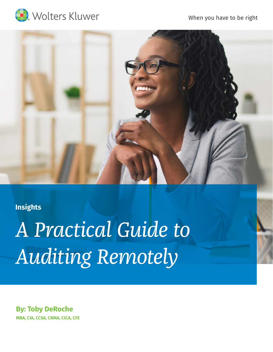

When you have to be right



# **Insights**

*A Practical Guide to Auditing Remotely*

**By: Toby DeRoche MBA, CIA, CCSA, CRMA, CICA, CFE**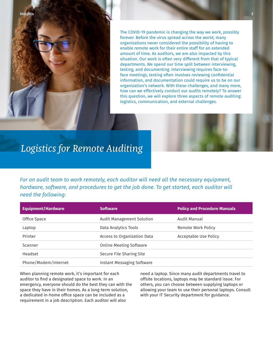

# *Logistics for Remote Auditing*

*For an audit team to work remotely, each auditor will need all the necessary equipment, hardware, software, and procedures to get the job done. To get started, each auditor will need the following:* 

| <b>Equipment/Hardware</b> | <b>Software</b>                   | <b>Policy and Procedure Manuals</b> |
|---------------------------|-----------------------------------|-------------------------------------|
| Office Space              | Audit Management Solution         | Audit Manual                        |
| Laptop                    | Data Analytics Tools              | Remote Work Policy                  |
| Printer                   | Access to Organization Data       | Acceptable Use Policy               |
| Scanner                   | <b>Online Meeting Software</b>    |                                     |
| Headset                   | Secure File Sharing Site          |                                     |
| Phone/Modem/Internet      | <b>Instant Messaging Software</b> |                                     |

When planning remote work, it's important for each auditor to find a designated space to work. In an emergency, everyone should do the best they can with the space they have in their homes. As a long-term solution, a dedicated in-home office space can be included as a requirement in a job description. Each auditor will also

need a laptop. Since many audit departments travel to offsite locations, laptops may be standard issue. For others, you can choose between supplying laptops or allowing your team to use their personal laptops. Consult with your IT Security department for guidance.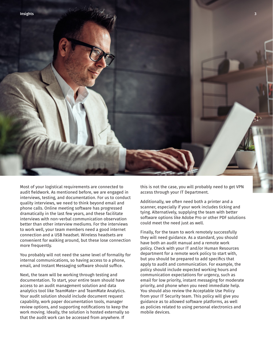

Most of your logistical requirements are connected to audit fieldwork. As mentioned before, we are engaged in interviews, testing, and documentation. For us to conduct quality interviews, we need to think beyond email and phone calls. Online meeting software has progressed dramatically in the last few years, and these facilitate interviews with non-verbal communication observation better than other interview mediums. For the interviews to work well, your team members need a good internet connection and a USB headset. Wireless headsets are convenient for walking around, but these lose connection more frequently.

You probably will not need the same level of formality for internal communications, so having access to a phone, email, and Instant Messaging software should suffice.

Next, the team will be working through testing and documentation. To start, your entire team should have access to an audit management solution and data analytics tool like TeamMate+ and TeamMate Analytics. Your audit solution should include document request capability, work paper documentation tools, manager review options, and supporting notifications to keep the work moving. Ideally, the solution is hosted externally so that the audit work can be accessed from anywhere. If

this is not the case, you will probably need to get VPN access through your IT Department.

Additionally, we often need both a printer and a scanner, especially if your work includes ticking and tying. Alternatively, supplying the team with better software options like Adobe Pro or other PDF solutions could meet the need just as well.

Finally, for the team to work remotely successfully they will need guidance. As a standard, you should have both an audit manual and a remote work policy. Check with your IT and/or Human Resources department for a remote work policy to start with, but you should be prepared to add specifics that apply to audit and communication. For example, the policy should include expected working hours and communication expectations for urgency, such as email for low priority, instant messaging for moderate priority, and phone when you need immediate help. You should also review the Acceptable Use Policy from your IT Security team. This policy will give you guidance as to allowed software platforms, as well as policies related to using personal electronics and mobile devices.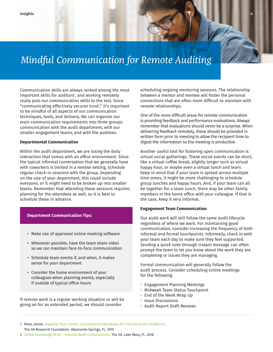# *Mindful Communication for Remote Auditing*

Communication skills are always ranked among the most important skills for auditors1, and working remotely really puts our communication skills to the test. Since "communicating effectively secures trust2 ," it's important to be mindful of all aspects of our communication techniques, tools, and delivery. We can organize our main communication requirements into three groups: communication with the audit department, with our smaller engagement teams, and with the auditees.

### **Departmental Communication**

Within the audit department, we are losing the daily interaction that comes with an office environment. Since the typical informal conversation that we generally have with coworkers is limited in a remote setting, schedule regular check-in sessions with the group. Depending on the size of your department, this could include everyone, or it might need to be broken up into smaller teams. Remember that attending these sessions requires planning for the attendees as well, so it is best to schedule these in advance.

#### **Department Communication Tips:**

- **•** Make use of approved online meeting software
- **•** Whenever possible, have the team share video so we can maintain face-to-face communication
- **•** Schedule team events if, and when, it makes sense for your department
- **•** Consider the home environment of your colleagues when planning events, especially if outside of typical office hours

If remote work is a regular working situation or will be going on for an extended period, we should consider

scheduling ongoing mentoring sessions. The relationship between a mentor and mentee will foster the personal connections that are often more difficult to maintain with remote relationships.

One of the more difficult areas for remote communication is providing feedback and performance evaluations. Always remember that evaluations should never be a surprise. When delivering feedback remotely, these should be provided in written form prior to meeting to allow the recipient time to digest the information so the meeting is productive.

Another useful tool for fostering open communication is virtual social gatherings. These social events can be short, like a virtual coffee break, slightly longer such as virtual happy hour, or maybe even a virtual lunch and learn. Keep in mind that if your team is spread across multiple time zones, it might be more challenging to schedule group lunches and happy hours. And, if your team can all be together for a team lunch, there may be other family members in the home office with your colleague. If that is the case, keep it very informal.

#### **Engagement Team Communication**

Our audit work will still follow the same audit lifecycle regardless of where we work. For maintaining good communication, consider increasing the frequency of both informal and formal touchpoints. Informally, check in with your team each day to make sure they feel supported. Sending a quick note through instant message can often prompt the team to let you know about the work they are completing or issues they are managing.

Formal communication will generally follow the audit process. Consider scheduling online meetings for the following:

- **•** Engagement Planning Meetings
- **•** Midweek Team Status Touchpoint
- **•** End of the Week Wrap Up
- **•** Issue Discussions
- **•** Audit Report Draft Reviews

1 Rose, James. [Mapping Your Career: Competencies Necessary for Internal Audit Excellence.](http://contentz.mkt5790.com/lp/2842/197389/IIARF CBOK Mapping Your Career Dec 2015_1.pdf) The IIA Research Foundation. Altamonte Springs, FL. 2015

<sup>2</sup> [Global Knowledge Brief – Internal Audit Competencies.](https://na.theiia.org/periodicals/Member Documents/Global-KB-Internal-Audit-Competencies.pdf) The IIA. Lake Mary, FL. 2018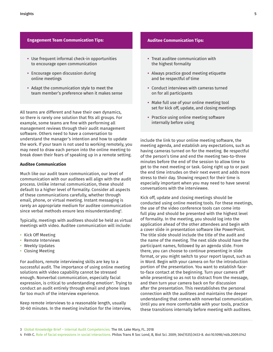### **Engagement Team Communication Tips:**

- **•** Use frequent informal check-in opportunities to encourage open communication
- **•** Encourage open discussion during online meetings
- **•** Adapt the communication style to meet the team member's preference when it makes sense

All teams are different and have their own dynamics, so there is rarely one solution that fits all groups. For example, some teams are fine with performing all management reviews through their audit management software. Others need to have a conversation to understand the manager's intention and how to update the work. If your team is not used to working remotely, you may need to draw each person into the online meeting to break down their fears of speaking up in a remote setting.

## **Auditee Communication**

Much like our audit team communication, our level of communication with our auditees will align with the audit process. Unlike internal communication, these should default to a higher level of formality. Consider all aspects of these communications carefully, whether through email, phone, or virtual meeting. Instant messaging is rarely an appropriate medium for auditee communication since verbal methods ensure less misunderstanding<sup>3</sup>.

Typically, meetings with auditees should be held as virtual meetings with video. Auditee communication will include:

- **•** Kick Off Meeting
- **•** Remote Interviews
- **•** Weekly Updates
- **•** Closing Meeting

For auditors, remote interviewing skills are key to a successful audit. The importance of using online meeting solutions with video capability cannot be stressed enough. Nonverbal communication, especially facial expression, is critical to understanding emotion<sup>4</sup>. Trying to conduct an audit entirely through email and phone loses far too much of the interview experience.

Keep remote interviews to a reasonable length, usually 30-60 minutes. In the meeting invitation for the interview,

### **Auditee Communication Tips:**

- **•** Treat auditee communication with the highest formality
- **•** Always practice good meeting etiquette and be respectful of time
- **•** Conduct interviews with cameras turned on for all participants
- **•** Make full use of your online meeting tool set for kick off, update, and closing meetings
- **•** Practice using online meeting software internally before using

include the link to your online meeting software, the meeting agenda, and establish any expectations, such as having cameras turned on for the meeting. Be respectful of the person's time and end the meeting two-to-three minutes before the end of the session to allow time to get to the next meeting or task. Going right up to or past the end time intrudes on their next event and adds more stress to their day. Showing respect for their time is especially important when you may need to have several conversations with the interviewee.

Kick off, update and closing meetings should be conducted using online meeting tools. For these meetings, the use of the video conference tools can come into full play and should be presented with the highest level of formality. In the meeting, you should log into the application ahead of the other attendees and begin with a cover slide in presentation software like PowerPoint. The title slide should include the title of the audit and the name of the meeting. The next slide should have the participant names, followed by an agenda slide. From there, you can choose to continue presenting in slide format, or you might switch to your report layout, such as in Word. Begin with your camera on for the introduction portion of the presentation. You want to establish faceto-face contact at the beginning. Turn your camera off while presenting so as not to distract from the message, and then turn your camera back on for discussion after the presentation. This reestablishes the personal connection with the auditees and maintains the deeper understanding that comes with nonverbal communication. Until you are more comfortable with your tools, practice these transitions internally before meeting with auditees.

<sup>3</sup> [Global Knowledge Brief – Internal Audit Competencies.](https://na.theiia.org/periodicals/Member Documents/Global-KB-Internal-Audit-Competencies.pdf) The IIA. Lake Mary, FL. 2018

<sup>4</sup> Frith C. [Role of facial expressions in social interactions.](https://royalsocietypublishing.org/doi/10.1098/rstb.2009.0142) Philos Trans R Soc Lond, B, Biol Sci. 2009; 364(1535):3453-8. doi:10.1098/rstb.2009.0142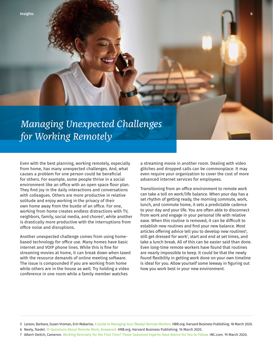# *Managing Unexpected Challenges for Working Remotely*

Even with the best planning, working remotely, especially from home, has many unexpected challenges. And, what causes a problem for one person could be beneficial for others. For example, some people thrive in a social environment like an office with an open space floor plan. They find joy in the daily interactions and conversations with colleagues. Others are more productive in relative solitude and enjoy working in the privacy of their own home away from the bustle of an office. For one, working from home creates endless distractions with TV, neighbors, family, social media, and chores<sup>s</sup>, while another is drastically more productive with the interruptions from office noise and disruptions.

Another unexpected challenge comes from using homebased technology for office use. Many homes have basic internet and VOIP phone lines. While this is fine for streaming movies at home, it can break down when taxed with the resource demands of online meeting software. The issue is compounded if you are working from home while others are in the house as well. Try holding a video conference in one room while a family member watches

a streaming movie in another room. Dealing with video glitches and dropped calls can be commonplace. It may even require your organization to cover the cost of more advanced internet services for employees.

Transitioning from an office environment to remote work can take a toll on work/life balance. When your day has a set rhythm of getting ready, the morning commute, work, lunch, and commute home, it sets a predictable cadence to your day and your life. You are often able to disconnect from work and engage in your personal life with relative ease. When this routine is removed, it can be difficult to establish new routines and find your new balance. Most articles offering advice tell you to develop new routines<sup>6</sup>, still get dressed for work7 , start and end at set times, and take a lunch break. All of this can be easier said than done. Even long-time remote workers have found that routines are nearly impossible to keep. It could be that the newly found flexibility in getting work done on your own timeline is ideal for you. Allow yourself some leeway in figuring out how you work best in your new environment.

<sup>5</sup> Larson, Barbara, Susan Vroman, Erin Makarius. [A Guide to Managing Your \(Newly\) Remote Workers.](https://hbr.org/2020/03/a-guide-to-managing-your-newly-remote-workers) HBR.org. Harvard Business Publishing. 18 March 2020.

<sup>6</sup> Neely, Tsedel. [15 Questions About Remote Work, Answered.](https://hbr.org/2020/03/15-questions-about-remote-work-answered) HRB.org. Harvard Business Publishing. 16 March 2020.

<sup>7</sup> Albert-Deitch, Cameron. [Working Remotely for the First Time? These Seasoned Experts Have Advice for You to Follow.](https://www.inc.com/cameron-albert-deitch/remote-work-advice-best-practices.html) INC.com. 19 March 2020.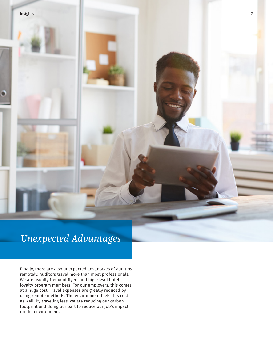#### Insights 7

# *Unexpected Advantages*

Finally, there are also unexpected advantages of auditing remotely. Auditors travel more than most professionals. We are usually frequent flyers and high-level hotel loyalty program members. For our employers, this comes at a huge cost. Travel expenses are greatly reduced by using remote methods. The environment feels this cost as well. By traveling less, we are reducing our carbon footprint and doing our part to reduce our job's impact on the environment.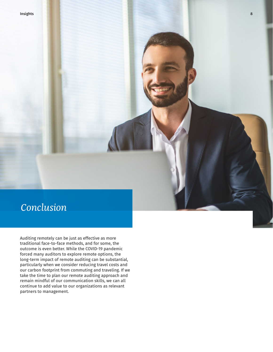# *Conclusion*

Auditing remotely can be just as effective as more traditional face-to-face methods, and for some, the outcome is even better. While the COVID-19 pandemic forced many auditors to explore remote options, the long-term impact of remote auditing can be substantial, particularly when we consider reducing travel costs and our carbon footprint from commuting and traveling. If we take the time to plan our remote auditing approach and remain mindful of our communication skills, we can all continue to add value to our organizations as relevant partners to management.